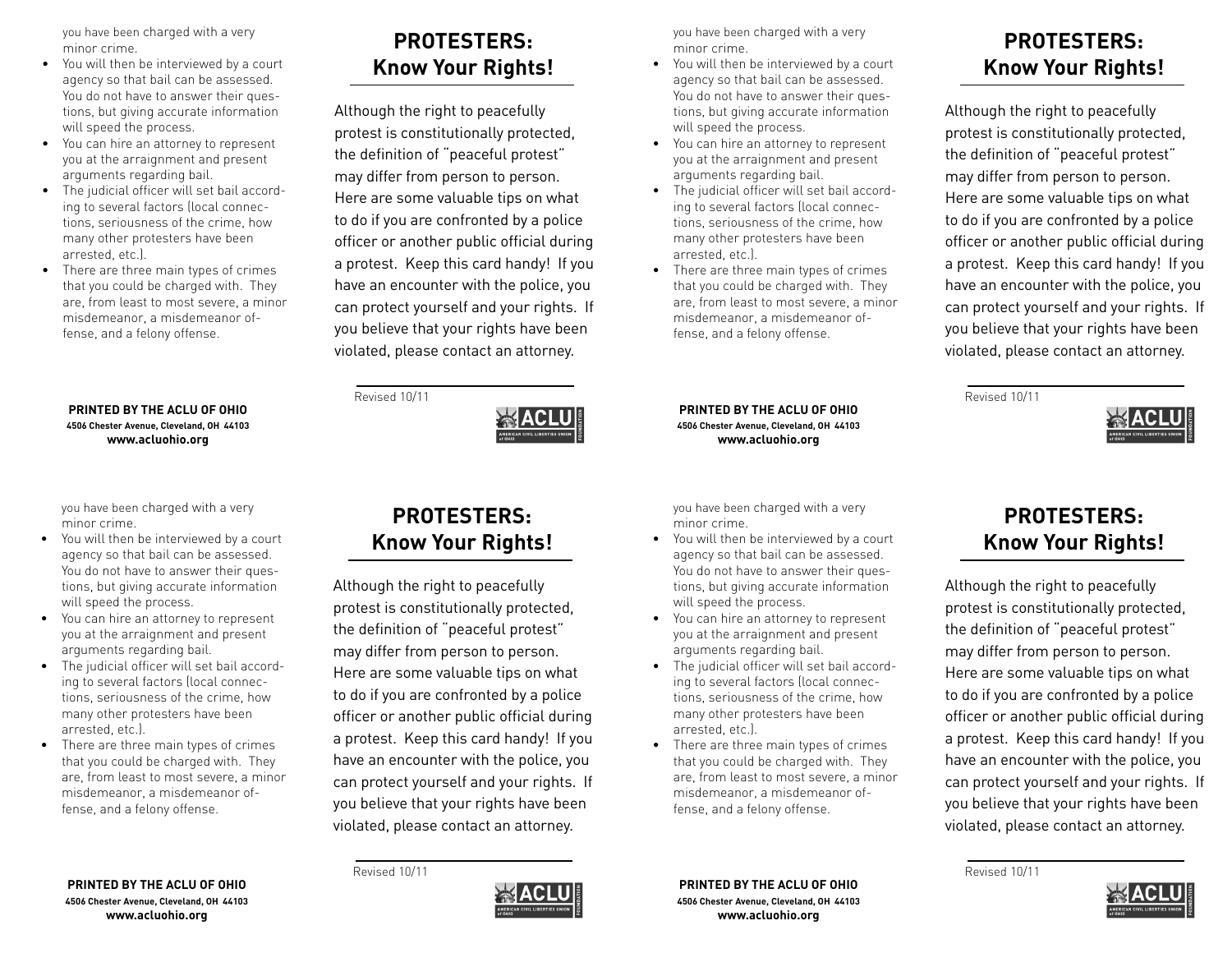you have been charged with a very minor crime.

- You will then be interviewed by a court agency so that bail can be assessed. You do not have to answer their questions, but giving accurate information will speed the process.
- • You can hire an attorney to represent you at the arraignment and present arguments regarding bail.
- The judicial officer will set bail according to several factors (local connections, seriousness of the crime, how many other protesters have been arrested, etc.).
- There are three main types of crimes that you could be charged with. They are, from least to most severe, a minor misdemeanor, a misdemeanor offense, and a felony offense.

#### **PRINTED BY THE ACLU OF OHIO 4506 Chester Avenue, Cleveland, OH 44103 www.acluohio.org**

you have been charged with a very minor crime.

- • You will then be interviewed by a court agency so that bail can be assessed. You do not have to answer their questions, but giving accurate information will speed the process.
- • You can hire an attorney to represent you at the arraignment and present arguments regarding bail.
- • The judicial officer will set bail according to several factors (local connections, seriousness of the crime, how many other protesters have been arrested, etc.).
- • There are three main types of crimes that you could be charged with. They are, from least to most severe, a minor misdemeanor, a misdemeanor offense, and a felony offense.

# **PROTESTERS: Know Your Rights!**

Although the right to peacefully protest is constitutionally protected, the definition of "peaceful protest" may differ from person to person. Here are some valuable tips on what to do if you are confronted by a police officer or another public official during a protest. Keep this card handy! If you have an encounter with the police, you can protect yourself and your rights. If you believe that your rights have been violated, please contact an attorney.

you have been charged with a very minor crime.

- You will then be interviewed by a court agency so that bail can be assessed. You do not have to answer their questions, but giving accurate information will speed the process.
- You can hire an attorney to represent you at the arraignment and present arguments regarding bail.
- The judicial officer will set bail according to several factors (local connections, seriousness of the crime, how many other protesters have been arrested, etc.).
- There are three main types of crimes that you could be charged with. They are, from least to most severe, a minor misdemeanor, a misdemeanor offense, and a felony offense.

**PRINTED BY THE ACLU OF OHIO 4506 Chester Avenue, Cleveland, OH 44103 www.acluohio.org**

you have been charged with a very minor crime.

- You will then be interviewed by a court agency so that bail can be assessed. You do not have to answer their questions, but giving accurate information will speed the process.
- You can hire an attorney to represent you at the arraignment and present arguments regarding bail.
- The judicial officer will set bail according to several factors (local connections, seriousness of the crime, how many other protesters have been arrested, etc.).
- There are three main types of crimes that you could be charged with. They are, from least to most severe, a minor misdemeanor, a misdemeanor offense, and a felony offense.

## **PROTESTERS: Know Your Rights!**

Although the right to peacefully protest is constitutionally protected, the definition of "peaceful protest" may differ from person to person. Here are some valuable tips on what to do if you are confronted by a police officer or another public official during a protest. Keep this card handy! If you have an encounter with the police, you can protect yourself and your rights. If you believe that your rights have been violated, please contact an attorney.

Revised 10/11



## **PROTESTERS: Know Your Rights!**

Although the right to peacefully protest is constitutionally protected, the definition of "peaceful protest" may differ from person to person. Here are some valuable tips on what to do if you are confronted by a police officer or another public official during a protest. Keep this card handy! If you have an encounter with the police, you can protect yourself and your rights. If you believe that your rights have been violated, please contact an attorney.

Revised 10/11



**PRINTED BY THE ACLU OF OHIO 4506 Chester Avenue, Cleveland, OH 44103 www.acluohio.org**

# **PROTESTERS: Know Your Rights!**

Revised 10/11

Although the right to peacefully protest is constitutionally protected, the definition of "peaceful protest" may differ from person to person. Here are some valuable tips on what to do if you are confronted by a police officer or another public official during a protest. Keep this card handy! If you have an encounter with the police, you can protect yourself and your rights. If you believe that your rights have been violated, please contact an attorney.

Revised 10/11



**PRINTED BY THE ACLU OF OHIO 4506 Chester Avenue, Cleveland, OH 44103 www.acluohio.org**